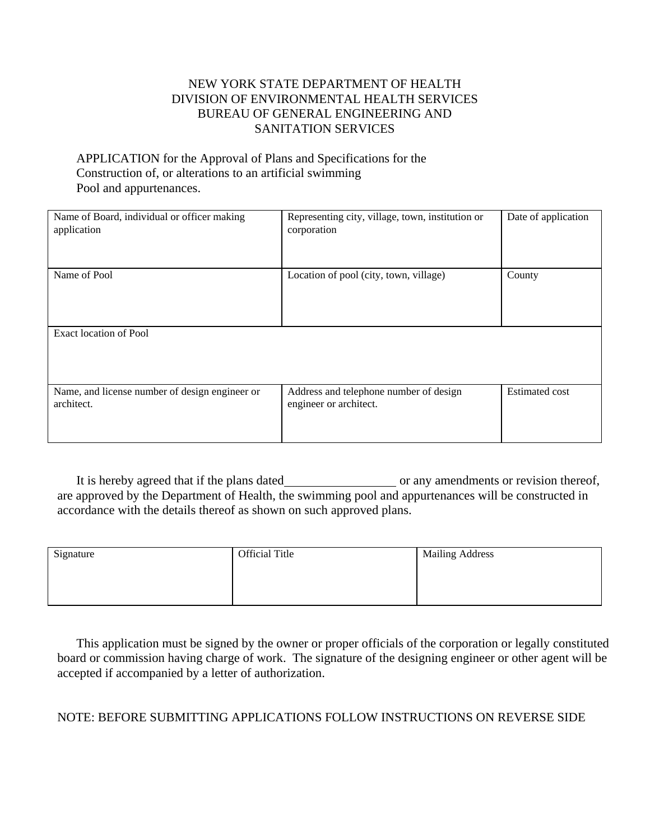## NEW YORK STATE DEPARTMENT OF HEALTH DIVISION OF ENVIRONMENTAL HEALTH SERVICES BUREAU OF GENERAL ENGINEERING AND SANITATION SERVICES

## APPLICATION for the Approval of Plans and Specifications for the Construction of, or alterations to an artificial swimming Pool and appurtenances.

| Name of Board, individual or officer making<br>application   | Representing city, village, town, institution or<br>corporation  | Date of application   |
|--------------------------------------------------------------|------------------------------------------------------------------|-----------------------|
| Name of Pool                                                 | Location of pool (city, town, village)                           | County                |
| Exact location of Pool                                       |                                                                  |                       |
| Name, and license number of design engineer or<br>architect. | Address and telephone number of design<br>engineer or architect. | <b>Estimated cost</b> |

It is hereby agreed that if the plans dated or any amendments or revision thereof, are approved by the Department of Health, the swimming pool and appurtenances will be constructed in accordance with the details thereof as shown on such approved plans.

| Signature | <b>Official Title</b> | <b>Mailing Address</b> |
|-----------|-----------------------|------------------------|
|           |                       |                        |
|           |                       |                        |

This application must be signed by the owner or proper officials of the corporation or legally constituted board or commission having charge of work. The signature of the designing engineer or other agent will be accepted if accompanied by a letter of authorization.

## NOTE: BEFORE SUBMITTING APPLICATIONS FOLLOW INSTRUCTIONS ON REVERSE SIDE